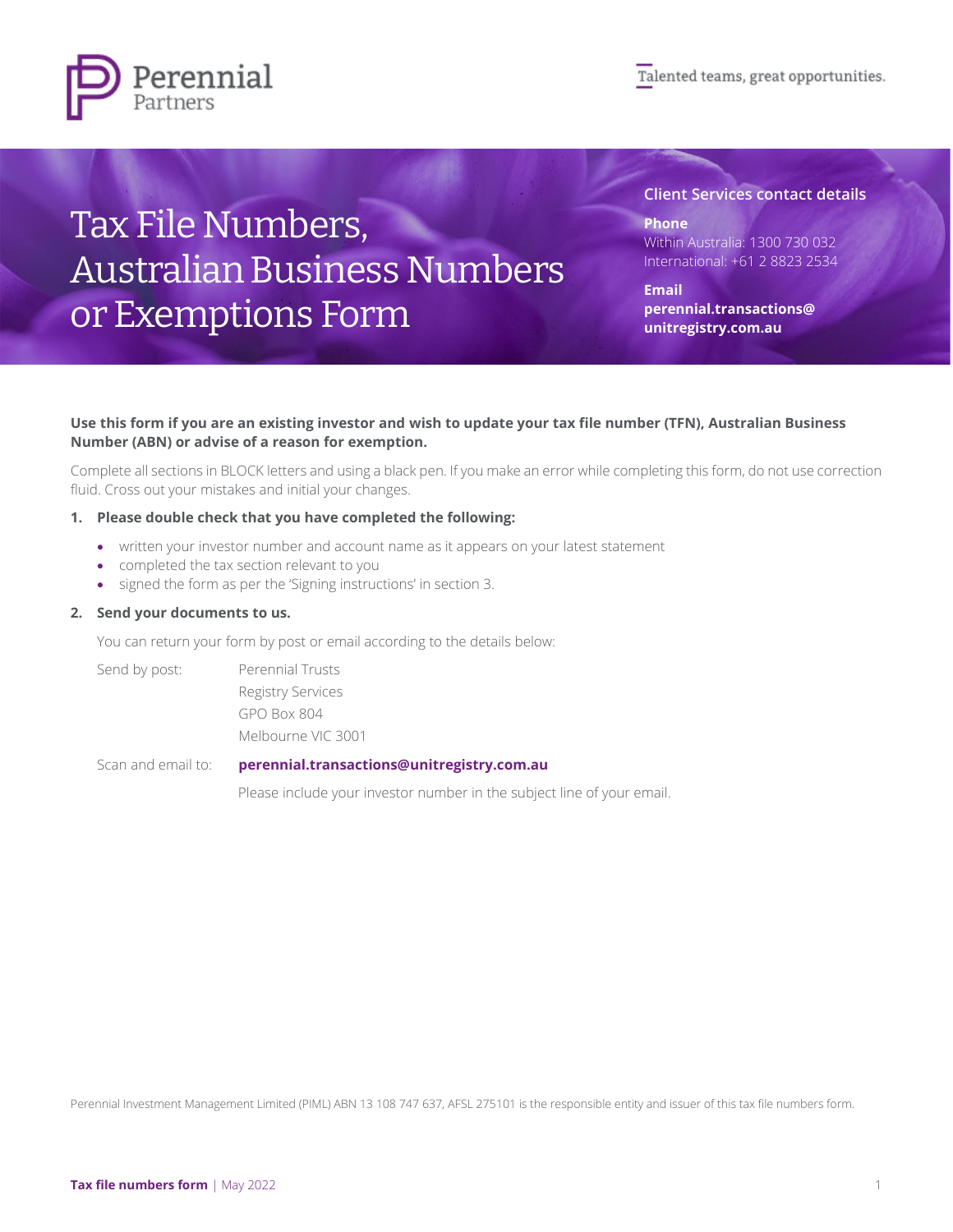



# Tax File Numbers, Australian Business Numbers or Exemptions Form

**Client Services contact details**

**Phone** Within Australia: 1300 730 032 International: +61 2 8823 2534

**Email [perennial.transactions@](mailto:perennial.transactions@unitregistry.com.au) [unitregistry.com.au](mailto:perennial.transactions@unitregistry.com.au)**

### **Use this form if you are an existing investor and wish to update your tax file number (TFN), Australian Business Number (ABN) or advise of a reason for exemption.**

Complete all sections in BLOCK letters and using a black pen. If you make an error while completing this form, do not use correction fluid. Cross out your mistakes and initial your changes.

### **1. Please double check that you have completed the following:**

- written your investor number and account name as it appears on your latest statement
- completed the tax section relevant to you
- signed the form as per the 'Signing instructions' in section 3.

#### **2. Send your documents to us.**

You can return your form by post or email according to the details below:

Send by post: Perennial Trusts Registry Services GPO Box 804 Melbourne VIC 3001

Scan and email to: **[perennial.transactions@unitregistry.com.au](mailto:perennial.transactions@unitregistry.com.au)**

Please include your investor number in the subject line of your email.

Perennial Investment Management Limited (PIML) ABN 13 108 747 637, AFSL 275101 is the responsible entity and issuer of this tax file numbers form.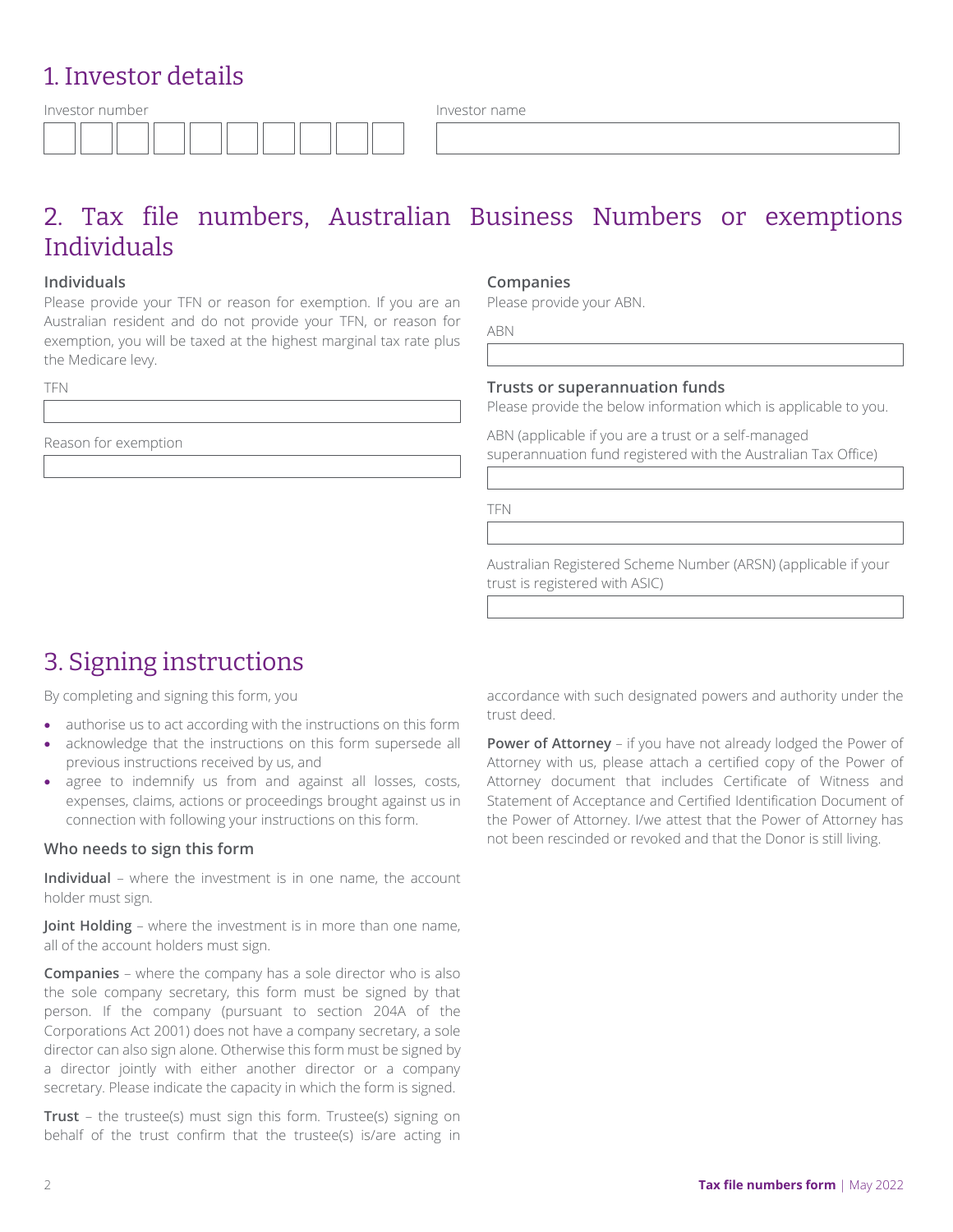# 1. Investor details

| Investor number |  |  |
|-----------------|--|--|
|                 |  |  |

Investor name

# 2. Tax file numbers, Australian Business Numbers or exemptions Individuals

## **Individuals**

Please provide your TFN or reason for exemption. If you are an Australian resident and do not provide your TFN, or reason for exemption, you will be taxed at the highest marginal tax rate plus the Medicare lew.

TFN

Reason for exemption

#### **Companies**

Please provide your ABN.

ABN

### **Trusts or superannuation funds**

Please provide the below information which is applicable to you.

ABN (applicable if you are a trust or a self-managed superannuation fund registered with the Australian Tax Office)

TFN

Australian Registered Scheme Number (ARSN) (applicable if your trust is registered with ASIC)

# 3. Signing instructions

By completing and signing this form, you

- authorise us to act according with the instructions on this form
- acknowledge that the instructions on this form supersede all previous instructions received by us, and
- agree to indemnify us from and against all losses, costs, expenses, claims, actions or proceedings brought against us in connection with following your instructions on this form.

### **Who needs to sign this form**

**Individual** – where the investment is in one name, the account holder must sign.

**Joint Holding** – where the investment is in more than one name, all of the account holders must sign.

**Companies** – where the company has a sole director who is also the sole company secretary, this form must be signed by that person. If the company (pursuant to section 204A of the Corporations Act 2001) does not have a company secretary, a sole director can also sign alone. Otherwise this form must be signed by a director jointly with either another director or a company secretary. Please indicate the capacity in which the form is signed.

**Trust** – the trustee(s) must sign this form. Trustee(s) signing on behalf of the trust confirm that the trustee(s) is/are acting in accordance with such designated powers and authority under the trust deed.

**Power of Attorney** – if you have not already lodged the Power of Attorney with us, please attach a certified copy of the Power of Attorney document that includes Certificate of Witness and Statement of Acceptance and Certified Identification Document of the Power of Attorney. I/we attest that the Power of Attorney has not been rescinded or revoked and that the Donor is still living.